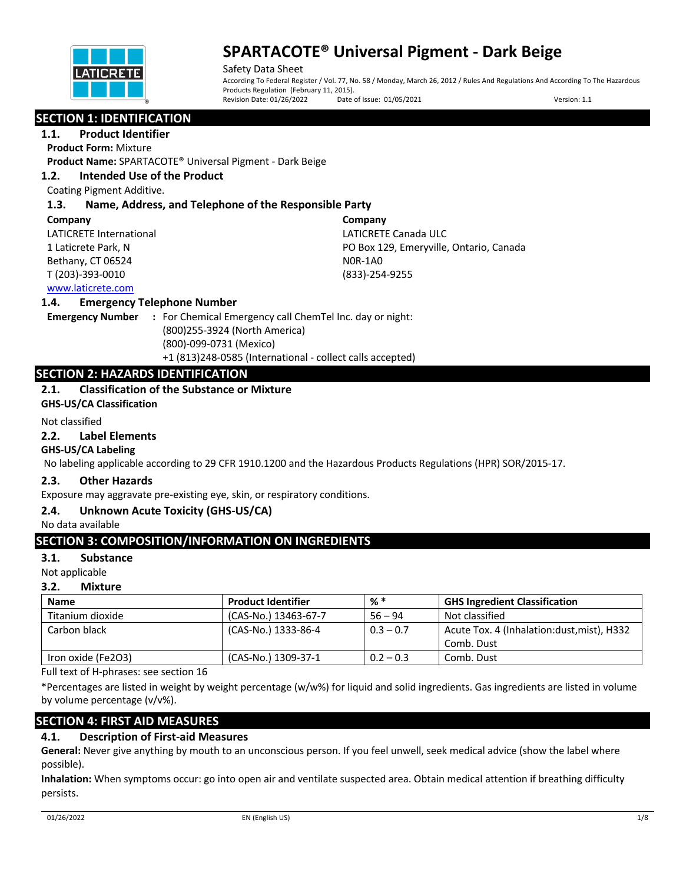

Safety Data Sheet According To Federal Register / Vol. 77, No. 58 / Monday, March 26, 2012 / Rules And Regulations And According To The Hazardous Products Regulation (February 11, 2015).<br>Revision Date: 01/26/2022 Date Date of Issue: 01/05/2021 Version: 1.1

## **SECTION 1: IDENTIFICATION**

**1.1. Product Identifier**

**Product Form:** Mixture

**Product Name:** SPARTACOTE® Universal Pigment - Dark Beige

## **1.2. Intended Use of the Product**

Coating Pigment Additive.

## **1.3. Name, Address, and Telephone of the Responsible Party**

#### **Company**

LATICRETE International 1 Laticrete Park, N Bethany, CT 06524 T (203)-393-0010

**Company** LATICRETE Canada ULC PO Box 129, Emeryville, Ontario, Canada N0R-1A0 (833)-254-9255

## www.laticrete.com

## **1.4. Emergency Telephone Number**

**Emergency Number :** For Chemical Emergency call ChemTel Inc. day or night: (800)255-3924 (North America) (800)-099-0731 (Mexico) +1 (813)248-0585 (International - collect calls accepted)

## **SECTION 2: HAZARDS IDENTIFICATION**

## **2.1. Classification of the Substance or Mixture**

**GHS-US/CA Classification**

#### Not classified

#### **2.2. Label Elements**

## **GHS-US/CA Labeling**

No labeling applicable according to 29 CFR 1910.1200 and the Hazardous Products Regulations (HPR) SOR/2015-17.

## **2.3. Other Hazards**

Exposure may aggravate pre-existing eye, skin, or respiratory conditions.

## **2.4. Unknown Acute Toxicity (GHS-US/CA)**

No data available

## **SECTION 3: COMPOSITION/INFORMATION ON INGREDIENTS**

## **3.1. Substance**

Not applicable

## **3.2. Mixture**

| <b>Name</b>        | <b>Product Identifier</b> | % *         | <b>GHS Ingredient Classification</b>        |
|--------------------|---------------------------|-------------|---------------------------------------------|
| Titanium dioxide   | (CAS-No.) 13463-67-7      | $56 - 94$   | Not classified                              |
| Carbon black       | (CAS-No.) 1333-86-4       | $0.3 - 0.7$ | Acute Tox. 4 (Inhalation: dust, mist), H332 |
|                    |                           |             | Comb. Dust                                  |
| Iron oxide (Fe2O3) | (CAS-No.) 1309-37-1       | $0.2 - 0.3$ | Comb. Dust                                  |

Full text of H-phrases: see section 16

\*Percentages are listed in weight by weight percentage (w/w%) for liquid and solid ingredients. Gas ingredients are listed in volume by volume percentage (v/v%).

## **SECTION 4: FIRST AID MEASURES**

## **4.1. Description of First-aid Measures**

**General:** Never give anything by mouth to an unconscious person. If you feel unwell, seek medical advice (show the label where possible).

**Inhalation:** When symptoms occur: go into open air and ventilate suspected area. Obtain medical attention if breathing difficulty persists.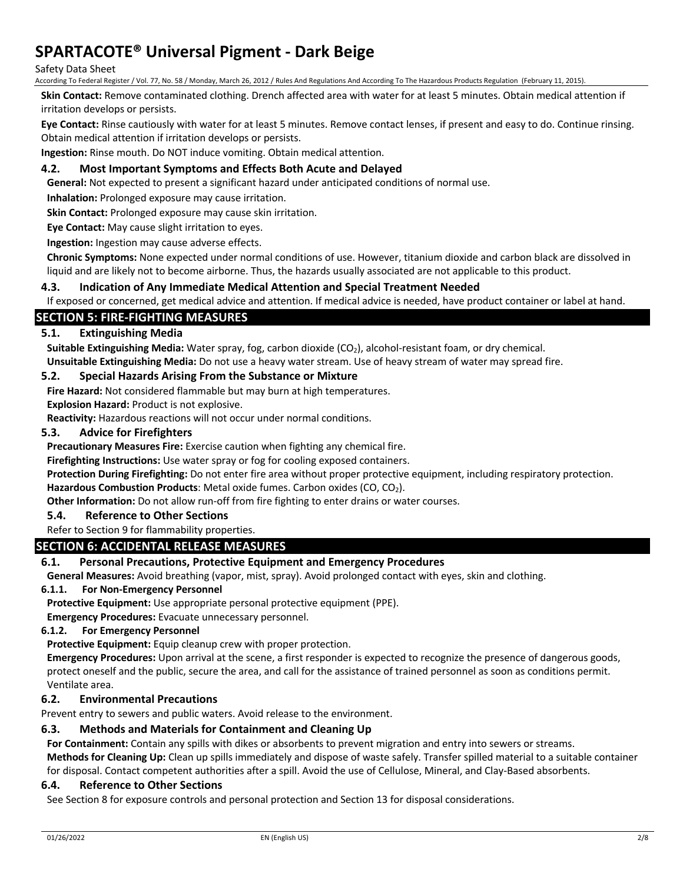#### Safety Data Sheet

According To Federal Register / Vol. 77, No. 58 / Monday, March 26, 2012 / Rules And Regulations And According To The Hazardous Products Regulation (February 11, 2015).

**Skin Contact:** Remove contaminated clothing. Drench affected area with water for at least 5 minutes. Obtain medical attention if irritation develops or persists.

**Eye Contact:** Rinse cautiously with water for at least 5 minutes. Remove contact lenses, if present and easy to do. Continue rinsing. Obtain medical attention if irritation develops or persists.

**Ingestion:** Rinse mouth. Do NOT induce vomiting. Obtain medical attention.

## **4.2. Most Important Symptoms and Effects Both Acute and Delayed**

**General:** Not expected to present a significant hazard under anticipated conditions of normal use.

**Inhalation:** Prolonged exposure may cause irritation.

**Skin Contact:** Prolonged exposure may cause skin irritation.

**Eye Contact:** May cause slight irritation to eyes.

**Ingestion:** Ingestion may cause adverse effects.

**Chronic Symptoms:** None expected under normal conditions of use. However, titanium dioxide and carbon black are dissolved in liquid and are likely not to become airborne. Thus, the hazards usually associated are not applicable to this product.

#### **4.3. Indication of Any Immediate Medical Attention and Special Treatment Needed**

If exposed or concerned, get medical advice and attention. If medical advice is needed, have product container or label at hand.

## **SECTION 5: FIRE-FIGHTING MEASURES**

#### **5.1. Extinguishing Media**

Suitable Extinguishing Media: Water spray, fog, carbon dioxide (CO<sub>2</sub>), alcohol-resistant foam, or dry chemical. **Unsuitable Extinguishing Media:** Do not use a heavy water stream. Use of heavy stream of water may spread fire.

#### **5.2. Special Hazards Arising From the Substance or Mixture**

**Fire Hazard:** Not considered flammable but may burn at high temperatures.

**Explosion Hazard:** Product is not explosive.

**Reactivity:** Hazardous reactions will not occur under normal conditions.

#### **5.3. Advice for Firefighters**

**Precautionary Measures Fire:** Exercise caution when fighting any chemical fire.

**Firefighting Instructions:** Use water spray or fog for cooling exposed containers.

**Protection During Firefighting:** Do not enter fire area without proper protective equipment, including respiratory protection.

Hazardous Combustion Products: Metal oxide fumes. Carbon oxides (CO, CO<sub>2</sub>).

**Other Information:** Do not allow run-off from fire fighting to enter drains or water courses.

#### **5.4. Reference to Other Sections**

#### Refer to Section 9 for flammability properties.

## **SECTION 6: ACCIDENTAL RELEASE MEASURES**

## **6.1. Personal Precautions, Protective Equipment and Emergency Procedures**

**General Measures:** Avoid breathing (vapor, mist, spray). Avoid prolonged contact with eyes, skin and clothing.

#### **6.1.1. For Non-Emergency Personnel**

**Protective Equipment:** Use appropriate personal protective equipment (PPE).

**Emergency Procedures:** Evacuate unnecessary personnel.

#### **6.1.2. For Emergency Personnel**

**Protective Equipment:** Equip cleanup crew with proper protection.

**Emergency Procedures:** Upon arrival at the scene, a first responder is expected to recognize the presence of dangerous goods, protect oneself and the public, secure the area, and call for the assistance of trained personnel as soon as conditions permit. Ventilate area.

## **6.2. Environmental Precautions**

Prevent entry to sewers and public waters. Avoid release to the environment.

## **6.3. Methods and Materials for Containment and Cleaning Up**

**For Containment:** Contain any spills with dikes or absorbents to prevent migration and entry into sewers or streams.

**Methods for Cleaning Up:** Clean up spills immediately and dispose of waste safely. Transfer spilled material to a suitable container for disposal. Contact competent authorities after a spill. Avoid the use of Cellulose, Mineral, and Clay-Based absorbents.

#### **6.4. Reference to Other Sections**

See Section 8 for exposure controls and personal protection and Section 13 for disposal considerations.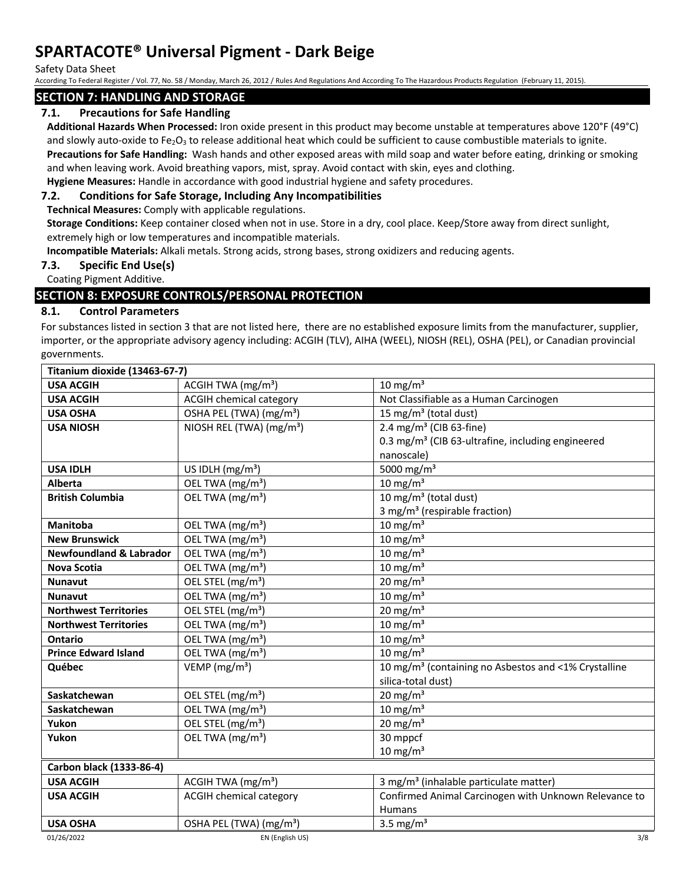Safety Data Sheet

According To Federal Register / Vol. 77, No. 58 / Monday, March 26, 2012 / Rules And Regulations And According To The Hazardous Products Regulation (February 11, 2015).

## **SECTION 7: HANDLING AND STORAGE**

## **7.1. Precautions for Safe Handling**

**Additional Hazards When Processed:** Iron oxide present in this product may become unstable at temperatures above 120°F (49°C) and slowly auto-oxide to Fe<sub>2</sub>O<sub>3</sub> to release additional heat which could be sufficient to cause combustible materials to ignite.

**Precautions for Safe Handling:** Wash hands and other exposed areas with mild soap and water before eating, drinking or smoking and when leaving work. Avoid breathing vapors, mist, spray. Avoid contact with skin, eyes and clothing.

**Hygiene Measures:** Handle in accordance with good industrial hygiene and safety procedures.

## **7.2. Conditions for Safe Storage, Including Any Incompatibilities**

**Technical Measures:** Comply with applicable regulations.

**Storage Conditions:** Keep container closed when not in use. Store in a dry, cool place. Keep/Store away from direct sunlight, extremely high or low temperatures and incompatible materials.

**Incompatible Materials:** Alkali metals. Strong acids, strong bases, strong oxidizers and reducing agents.

## **7.3. Specific End Use(s)**

Coating Pigment Additive.

## **SECTION 8: EXPOSURE CONTROLS/PERSONAL PROTECTION**

## **8.1. Control Parameters**

For substances listed in section 3 that are not listed here, there are no established exposure limits from the manufacturer, supplier, importer, or the appropriate advisory agency including: ACGIH (TLV), AIHA (WEEL), NIOSH (REL), OSHA (PEL), or Canadian provincial governments.

| Titanium dioxide (13463-67-7)      |                                      |                                                                  |  |
|------------------------------------|--------------------------------------|------------------------------------------------------------------|--|
| <b>USA ACGIH</b>                   | ACGIH TWA $(mg/m3)$                  | 10 mg/m <sup>3</sup>                                             |  |
| <b>USA ACGIH</b>                   | <b>ACGIH chemical category</b>       | Not Classifiable as a Human Carcinogen                           |  |
| <b>USA OSHA</b>                    | OSHA PEL (TWA) (mg/m <sup>3</sup> )  | 15 mg/m <sup>3</sup> (total dust)                                |  |
| <b>USA NIOSH</b>                   | NIOSH REL (TWA) (mg/m <sup>3</sup> ) | 2.4 mg/m <sup>3</sup> (CIB 63-fine)                              |  |
|                                    |                                      | 0.3 mg/m <sup>3</sup> (CIB 63-ultrafine, including engineered    |  |
|                                    |                                      | nanoscale)                                                       |  |
| <b>USA IDLH</b>                    | US IDLH $(mg/m3)$                    | 5000 mg/m <sup>3</sup>                                           |  |
| <b>Alberta</b>                     | OEL TWA (mg/m <sup>3</sup> )         | 10 mg/m $3$                                                      |  |
| <b>British Columbia</b>            | OEL TWA (mg/m <sup>3</sup> )         | 10 mg/m $3$ (total dust)                                         |  |
|                                    |                                      | 3 mg/m <sup>3</sup> (respirable fraction)                        |  |
| <b>Manitoba</b>                    | OEL TWA (mg/m <sup>3</sup> )         | $10 \text{ mg/m}^3$                                              |  |
| <b>New Brunswick</b>               | OEL TWA (mg/m <sup>3</sup> )         | 10 mg/m $3$                                                      |  |
| <b>Newfoundland &amp; Labrador</b> | OEL TWA (mg/m <sup>3</sup> )         | 10 mg/m $3$                                                      |  |
| <b>Nova Scotia</b>                 | OEL TWA (mg/m <sup>3</sup> )         | 10 mg/m $3$                                                      |  |
| <b>Nunavut</b>                     | OEL STEL (mg/m <sup>3</sup> )        | 20 mg/m $3$                                                      |  |
| <b>Nunavut</b>                     | OEL TWA (mg/m <sup>3</sup> )         | $10 \text{ mg/m}^3$                                              |  |
| <b>Northwest Territories</b>       | OEL STEL (mg/m <sup>3</sup> )        | 20 mg/m $3$                                                      |  |
| <b>Northwest Territories</b>       | OEL TWA (mg/m <sup>3</sup> )         | 10 mg/m $3$                                                      |  |
| Ontario                            | OEL TWA (mg/m <sup>3</sup> )         | $10 \text{ mg/m}^3$                                              |  |
| <b>Prince Edward Island</b>        | OEL TWA (mg/m <sup>3</sup> )         | 10 mg/m $3$                                                      |  |
| Québec                             | VEMP ( $mg/m3$ )                     | 10 mg/m <sup>3</sup> (containing no Asbestos and <1% Crystalline |  |
|                                    |                                      | silica-total dust)                                               |  |
| Saskatchewan                       | OEL STEL (mg/m <sup>3</sup> )        | 20 mg/m <sup>3</sup>                                             |  |
| Saskatchewan                       | OEL TWA (mg/m <sup>3</sup> )         | $10 \text{ mg/m}^3$                                              |  |
| Yukon                              | OEL STEL (mg/m <sup>3</sup> )        | 20 mg/m $3$                                                      |  |
| Yukon                              | OEL TWA (mg/m <sup>3</sup> )         | 30 mppcf                                                         |  |
|                                    |                                      | $10 \text{ mg/m}^3$                                              |  |
| Carbon black (1333-86-4)           |                                      |                                                                  |  |
| <b>USA ACGIH</b>                   | ACGIH TWA $(mg/m3)$                  | 3 mg/m <sup>3</sup> (inhalable particulate matter)               |  |
| <b>USA ACGIH</b>                   | <b>ACGIH chemical category</b>       | Confirmed Animal Carcinogen with Unknown Relevance to            |  |
|                                    |                                      | <b>Humans</b>                                                    |  |
| <b>USA OSHA</b>                    | OSHA PEL (TWA) (mg/m <sup>3</sup> )  | 3.5 mg/ $m3$                                                     |  |
| 01/26/2022                         | EN (English US)                      | 3/8                                                              |  |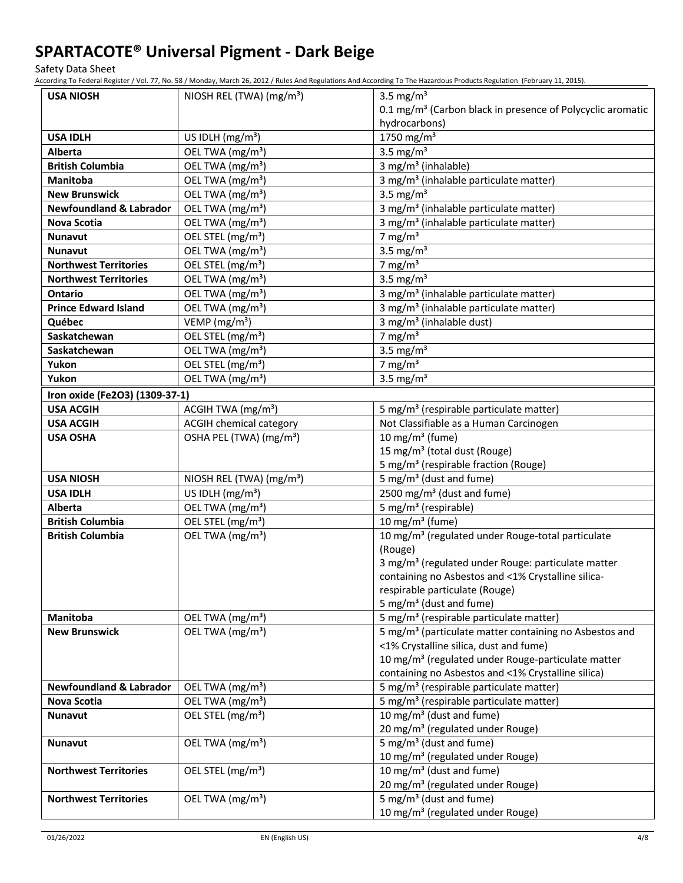Safety Data Sheet

According To Federal Register / Vol. 77, No. 58 / Monday, March 26, 2012 / Rules And Regulations And According To The Hazardous Products Regulation (February 11, 2015).

| <b>USA NIOSH</b>                   | NIOSH REL (TWA) (mg/m <sup>3</sup> ) | 3.5 mg/ $m3$                                                           |
|------------------------------------|--------------------------------------|------------------------------------------------------------------------|
|                                    |                                      | 0.1 mg/m <sup>3</sup> (Carbon black in presence of Polycyclic aromatic |
|                                    |                                      | hydrocarbons)                                                          |
| <b>USA IDLH</b>                    | US IDLH $(mg/m3)$                    | 1750 mg/m <sup>3</sup>                                                 |
| <b>Alberta</b>                     | OEL TWA (mg/m <sup>3</sup> )         | 3.5 mg/ $m3$                                                           |
| <b>British Columbia</b>            | OEL TWA (mg/m <sup>3</sup> )         | 3 mg/m <sup>3</sup> (inhalable)                                        |
| Manitoba                           | OEL TWA (mg/m <sup>3</sup> )         | 3 mg/m <sup>3</sup> (inhalable particulate matter)                     |
| <b>New Brunswick</b>               | OEL TWA (mg/m <sup>3</sup> )         | 3.5 mg/ $m3$                                                           |
| <b>Newfoundland &amp; Labrador</b> | OEL TWA (mg/m <sup>3</sup> )         | 3 mg/m <sup>3</sup> (inhalable particulate matter)                     |
| <b>Nova Scotia</b>                 | OEL TWA (mg/m <sup>3</sup> )         | 3 mg/m <sup>3</sup> (inhalable particulate matter)                     |
| <b>Nunavut</b>                     | OEL STEL (mg/m <sup>3</sup> )        | 7 mg/m $3$                                                             |
| <b>Nunavut</b>                     | OEL TWA (mg/m <sup>3</sup> )         | 3.5 mg/ $m3$                                                           |
| <b>Northwest Territories</b>       | OEL STEL (mg/m <sup>3</sup> )        | 7 mg/m $3$                                                             |
| <b>Northwest Territories</b>       | OEL TWA (mg/m <sup>3</sup> )         | 3.5 mg/ $m3$                                                           |
| <b>Ontario</b>                     | OEL TWA (mg/m <sup>3</sup> )         | 3 mg/m <sup>3</sup> (inhalable particulate matter)                     |
| <b>Prince Edward Island</b>        | OEL TWA (mg/m <sup>3</sup> )         | 3 mg/m <sup>3</sup> (inhalable particulate matter)                     |
| Québec                             | VEMP ( $mg/m3$ )                     | 3 mg/m <sup>3</sup> (inhalable dust)                                   |
| Saskatchewan                       | OEL STEL (mg/m <sup>3</sup> )        | 7 mg/m $3$                                                             |
| Saskatchewan                       | OEL TWA (mg/m <sup>3</sup> )         | 3.5 mg/ $m3$                                                           |
| Yukon                              | OEL STEL (mg/m <sup>3</sup> )        | 7 mg/m $3$                                                             |
| Yukon                              | OEL TWA (mg/m <sup>3</sup> )         | 3.5 mg/ $m3$                                                           |
| Iron oxide (Fe2O3) (1309-37-1)     |                                      |                                                                        |
| <b>USA ACGIH</b>                   | ACGIH TWA (mg/m <sup>3</sup> )       | 5 mg/m <sup>3</sup> (respirable particulate matter)                    |
| <b>USA ACGIH</b>                   | <b>ACGIH chemical category</b>       | Not Classifiable as a Human Carcinogen                                 |
| <b>USA OSHA</b>                    | OSHA PEL (TWA) (mg/m <sup>3</sup> )  | 10 mg/m <sup>3</sup> (fume)                                            |
|                                    |                                      | 15 mg/m <sup>3</sup> (total dust (Rouge)                               |
|                                    |                                      | 5 mg/m <sup>3</sup> (respirable fraction (Rouge)                       |
| <b>USA NIOSH</b>                   | NIOSH REL (TWA) (mg/m <sup>3</sup> ) | 5 mg/m <sup>3</sup> (dust and fume)                                    |
| <b>USA IDLH</b>                    | US IDLH (mg/m <sup>3</sup> )         | 2500 mg/m <sup>3</sup> (dust and fume)                                 |
| Alberta                            | OEL TWA (mg/m <sup>3</sup> )         | 5 mg/m <sup>3</sup> (respirable)                                       |
| <b>British Columbia</b>            | OEL STEL (mg/m <sup>3</sup> )        | 10 mg/m $3$ (fume)                                                     |
| <b>British Columbia</b>            | OEL TWA (mg/m <sup>3</sup> )         | 10 mg/m <sup>3</sup> (regulated under Rouge-total particulate          |
|                                    |                                      | (Rouge)                                                                |
|                                    |                                      | 3 mg/m <sup>3</sup> (regulated under Rouge: particulate matter         |
|                                    |                                      | containing no Asbestos and <1% Crystalline silica-                     |
|                                    |                                      | respirable particulate (Rouge)                                         |
|                                    |                                      | 5 mg/m <sup>3</sup> (dust and fume)                                    |
| Manitoba                           | OEL TWA (mg/m <sup>3</sup> )         | 5 mg/m <sup>3</sup> (respirable particulate matter)                    |
| <b>New Brunswick</b>               | OEL TWA (mg/m <sup>3</sup> )         | 5 mg/m <sup>3</sup> (particulate matter containing no Asbestos and     |
|                                    |                                      | <1% Crystalline silica, dust and fume)                                 |
|                                    |                                      | 10 mg/m <sup>3</sup> (regulated under Rouge-particulate matter         |
|                                    |                                      | containing no Asbestos and <1% Crystalline silica)                     |
| <b>Newfoundland &amp; Labrador</b> | OEL TWA (mg/m <sup>3</sup> )         | 5 mg/m <sup>3</sup> (respirable particulate matter)                    |
| Nova Scotia                        | OEL TWA (mg/m <sup>3</sup> )         | 5 mg/m <sup>3</sup> (respirable particulate matter)                    |
| Nunavut                            | OEL STEL (mg/m <sup>3</sup> )        | 10 mg/m <sup>3</sup> (dust and fume)                                   |
|                                    |                                      | 20 mg/m <sup>3</sup> (regulated under Rouge)                           |
| Nunavut                            | OEL TWA (mg/m <sup>3</sup> )         | 5 mg/m <sup>3</sup> (dust and fume)                                    |
|                                    |                                      | 10 mg/m <sup>3</sup> (regulated under Rouge)                           |
| <b>Northwest Territories</b>       | OEL STEL (mg/m <sup>3</sup> )        | 10 mg/m <sup>3</sup> (dust and fume)                                   |
|                                    |                                      | 20 mg/m <sup>3</sup> (regulated under Rouge)                           |
| <b>Northwest Territories</b>       | OEL TWA (mg/m <sup>3</sup> )         | 5 mg/m <sup>3</sup> (dust and fume)                                    |
|                                    |                                      | 10 mg/m <sup>3</sup> (regulated under Rouge)                           |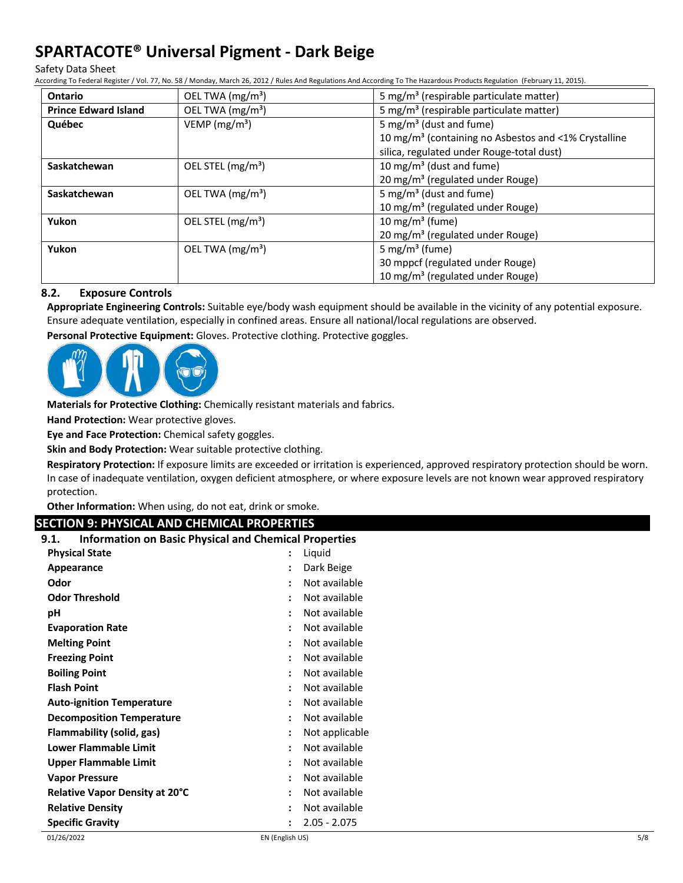Safety Data Sheet

According To Federal Register / Vol. 77, No. 58 / Monday, March 26, 2012 / Rules And Regulations And According To The Hazardous Products Regulation (February 11, 2015).

| <b>Ontario</b>              | OEL TWA (mg/m <sup>3</sup> ) | 5 mg/m <sup>3</sup> (respirable particulate matter)              |
|-----------------------------|------------------------------|------------------------------------------------------------------|
| <b>Prince Edward Island</b> | OEL TWA (mg/m <sup>3</sup> ) | 5 mg/m <sup>3</sup> (respirable particulate matter)              |
| Québec                      | VEMP ( $mg/m3$ )             | 5 mg/m <sup>3</sup> (dust and fume)                              |
|                             |                              | 10 mg/m <sup>3</sup> (containing no Asbestos and <1% Crystalline |
|                             |                              | silica, regulated under Rouge-total dust)                        |
| Saskatchewan                | OEL STEL $(mg/m3)$           | 10 mg/m <sup>3</sup> (dust and fume)                             |
|                             |                              | 20 mg/m <sup>3</sup> (regulated under Rouge)                     |
| Saskatchewan                | OEL TWA $(mg/m3)$            | 5 mg/m <sup>3</sup> (dust and fume)                              |
|                             |                              | 10 mg/m <sup>3</sup> (regulated under Rouge)                     |
| Yukon                       | OEL STEL $(mg/m3)$           | 10 mg/m <sup>3</sup> (fume)                                      |
|                             |                              | 20 mg/m <sup>3</sup> (regulated under Rouge)                     |
| Yukon                       | OEL TWA $(mg/m3)$            | 5 mg/m <sup>3</sup> (fume)                                       |
|                             |                              | 30 mppcf (regulated under Rouge)                                 |
|                             |                              | 10 mg/m <sup>3</sup> (regulated under Rouge)                     |

## **8.2. Exposure Controls**

**Appropriate Engineering Controls:** Suitable eye/body wash equipment should be available in the vicinity of any potential exposure. Ensure adequate ventilation, especially in confined areas. Ensure all national/local regulations are observed.

**Personal Protective Equipment:** Gloves. Protective clothing. Protective goggles.



**Materials for Protective Clothing:** Chemically resistant materials and fabrics.

**Hand Protection:** Wear protective gloves.

**Eye and Face Protection:** Chemical safety goggles.

**Skin and Body Protection:** Wear suitable protective clothing.

**Respiratory Protection:** If exposure limits are exceeded or irritation is experienced, approved respiratory protection should be worn. In case of inadequate ventilation, oxygen deficient atmosphere, or where exposure levels are not known wear approved respiratory protection.

**Other Information:** When using, do not eat, drink or smoke.

## **SECTION 9: PHYSICAL AND CHEMICAL PROPERTIES**

| <b>Information on Basic Physical and Chemical Properties</b><br>9.1. |                      |                |
|----------------------------------------------------------------------|----------------------|----------------|
| <b>Physical State</b>                                                |                      | Liquid         |
| Appearance                                                           | $\ddot{\cdot}$       | Dark Beige     |
| Odor                                                                 | $\ddot{\cdot}$       | Not available  |
| <b>Odor Threshold</b>                                                |                      | Not available  |
| рH                                                                   | $\ddot{\cdot}$       | Not available  |
| <b>Evaporation Rate</b>                                              | $\ddot{\cdot}$       | Not available  |
| <b>Melting Point</b>                                                 | $\ddot{\cdot}$       | Not available  |
| <b>Freezing Point</b>                                                | $\ddot{\cdot}$       | Not available  |
| <b>Boiling Point</b>                                                 | $\ddot{\cdot}$       | Not available  |
| <b>Flash Point</b>                                                   | $\ddot{\cdot}$       | Not available  |
| <b>Auto-ignition Temperature</b>                                     | $\ddot{\cdot}$       | Not available  |
| <b>Decomposition Temperature</b>                                     | $\ddot{\cdot}$       | Not available  |
| Flammability (solid, gas)                                            | $\ddot{\phantom{a}}$ | Not applicable |
| Lower Flammable Limit                                                | $\ddot{\phantom{a}}$ | Not available  |
| Upper Flammable Limit                                                |                      | Not available  |
| <b>Vapor Pressure</b>                                                | $\ddot{\cdot}$       | Not available  |
| Relative Vapor Density at 20°C                                       | $\ddot{\cdot}$       | Not available  |
| <b>Relative Density</b>                                              | $\ddot{\cdot}$       | Not available  |
| <b>Specific Gravity</b>                                              | :                    | $2.05 - 2.075$ |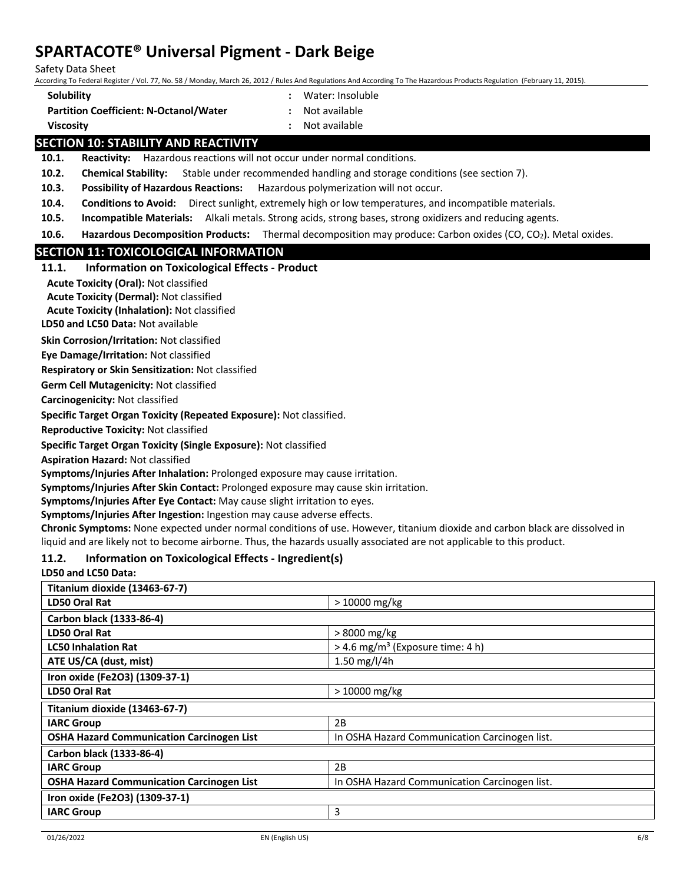Safety Data Sheet

According To Federal Register / Vol. 77, No. 58 / Monday, March 26, 2012 / Rules And Regulations And According To The Hazardous Products Regulation (February 11, 2015).

- **Solubility :** Water: Insoluble
- **Partition Coefficient: N-Octanol/Water :** Not available
- 
- **Viscosity :** Not available
- 

## **SECTION 10: STABILITY AND REACTIVITY**

**10.1. Reactivity:** Hazardous reactions will not occur under normal conditions.

**10.2. Chemical Stability:** Stable under recommended handling and storage conditions (see section 7).

**10.3. Possibility of Hazardous Reactions:** Hazardous polymerization will not occur.

- **10.4. Conditions to Avoid:** Direct sunlight, extremely high or low temperatures, and incompatible materials.
- **10.5. Incompatible Materials:** Alkali metals. Strong acids, strong bases, strong oxidizers and reducing agents.

**10.6. Hazardous Decomposition Products:** Thermal decomposition may produce: Carbon oxides (CO, CO<sub>2</sub>). Metal oxides.

## **SECTION 11: TOXICOLOGICAL INFORMATION**

**Acute Toxicity (Oral):** Not classified

**Acute Toxicity (Dermal):** Not classified

**Acute Toxicity (Inhalation):** Not classified

**LD50 and LC50 Data:** Not available

**Skin Corrosion/Irritation:** Not classified

**Eye Damage/Irritation:** Not classified

**Respiratory or Skin Sensitization:** Not classified

**Germ Cell Mutagenicity:** Not classified

**Carcinogenicity:** Not classified

**Specific Target Organ Toxicity (Repeated Exposure):** Not classified.

**Reproductive Toxicity:** Not classified

**Specific Target Organ Toxicity (Single Exposure):** Not classified

**Aspiration Hazard:** Not classified

**Symptoms/Injuries After Inhalation:** Prolonged exposure may cause irritation.

**Symptoms/Injuries After Skin Contact:** Prolonged exposure may cause skin irritation.

**Symptoms/Injuries After Eye Contact:** May cause slight irritation to eyes.

**Symptoms/Injuries After Ingestion:** Ingestion may cause adverse effects.

**Chronic Symptoms:** None expected under normal conditions of use. However, titanium dioxide and carbon black are dissolved in liquid and are likely not to become airborne. Thus, the hazards usually associated are not applicable to this product.

## **11.2. Information on Toxicological Effects - Ingredient(s)**

## **LD50 and LC50 Data:**

| Titanium dioxide (13463-67-7)                    |                                                |
|--------------------------------------------------|------------------------------------------------|
| LD50 Oral Rat                                    | $>10000$ mg/kg                                 |
| Carbon black (1333-86-4)                         |                                                |
| LD50 Oral Rat                                    | > 8000 mg/kg                                   |
| <b>LC50 Inhalation Rat</b>                       | $>$ 4.6 mg/m <sup>3</sup> (Exposure time: 4 h) |
| ATE US/CA (dust, mist)                           | 1.50 mg/l/4h                                   |
| Iron oxide (Fe2O3) (1309-37-1)                   |                                                |
| <b>LD50 Oral Rat</b>                             | $>10000$ mg/kg                                 |
| Titanium dioxide (13463-67-7)                    |                                                |
| <b>IARC Group</b>                                | 2B                                             |
| <b>OSHA Hazard Communication Carcinogen List</b> | In OSHA Hazard Communication Carcinogen list.  |
| Carbon black (1333-86-4)                         |                                                |
| <b>IARC Group</b>                                | 2B                                             |
| <b>OSHA Hazard Communication Carcinogen List</b> | In OSHA Hazard Communication Carcinogen list.  |
| Iron oxide (Fe2O3) (1309-37-1)                   |                                                |
| <b>IARC Group</b>                                | 3                                              |
|                                                  |                                                |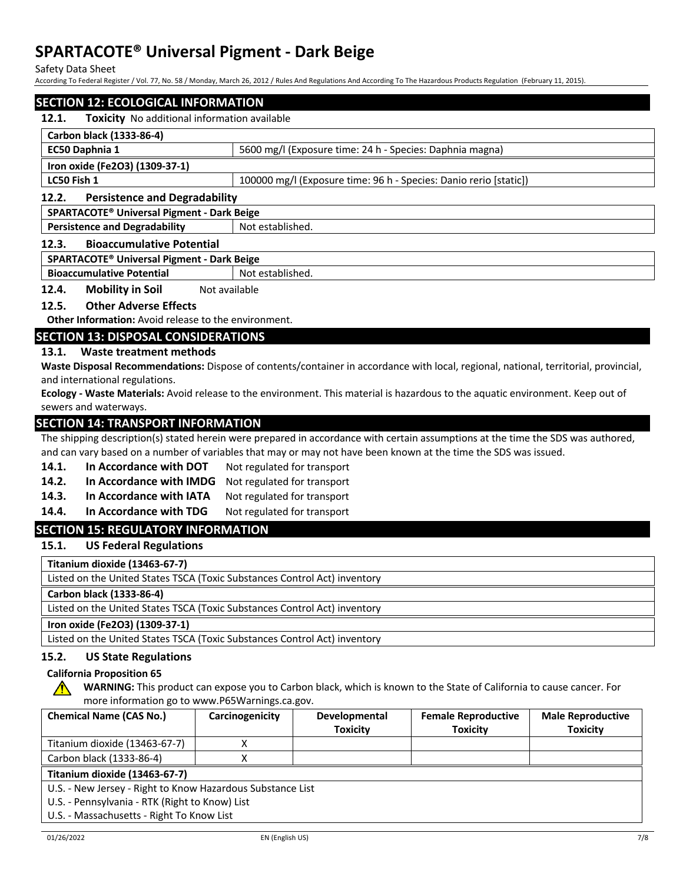Safety Data Sheet

According To Federal Register / Vol. 77, No. 58 / Monday, March 26, 2012 / Rules And Regulations And According To The Hazardous Products Regulation (February 11, 2015).

## **SECTION 12: ECOLOGICAL INFORMATION 12.1. Toxicity** No additional information available **Carbon black (1333-86-4) EC50 Daphnia 1** 5600 mg/l (Exposure time: 24 h - Species: Daphnia magna) **Iron oxide (Fe2O3) (1309-37-1) LC50 Fish 1** 100000 mg/l (Exposure time: 96 h - Species: Danio rerio [static]) **12.2. Persistence and Degradability SPARTACOTE® Universal Pigment - Dark Beige Persistence and Degradability** Not established. **12.3. Bioaccumulative Potential SPARTACOTE® Universal Pigment - Dark Beige Bioaccumulative Potential** Not established.

**12.4. Mobility in Soil** Not available

## **12.5. Other Adverse Effects**

**Other Information:** Avoid release to the environment.

## **SECTION 13: DISPOSAL CONSIDERATIONS**

## **13.1. Waste treatment methods**

**Waste Disposal Recommendations:** Dispose of contents/container in accordance with local, regional, national, territorial, provincial, and international regulations.

**Ecology - Waste Materials:** Avoid release to the environment. This material is hazardous to the aquatic environment. Keep out of sewers and waterways.

## **SECTION 14: TRANSPORT INFORMATION**

The shipping description(s) stated herein were prepared in accordance with certain assumptions at the time the SDS was authored, and can vary based on a number of variables that may or may not have been known at the time the SDS was issued.

- 14.1. In Accordance with DOT Not regulated for transport
- **14.2. In Accordance with IMDG** Not regulated for transport
- 14.3. In Accordance with IATA Not regulated for transport
- 14.4. In Accordance with TDG Not regulated for transport

## **SECTION 15: REGULATORY INFORMATION**

**15.1. US Federal Regulations**

**Titanium dioxide (13463-67-7)**

Listed on the United States TSCA (Toxic Substances Control Act) inventory

**Carbon black (1333-86-4)**

Listed on the United States TSCA (Toxic Substances Control Act) inventory

## **Iron oxide (Fe2O3) (1309-37-1)**

Listed on the United States TSCA (Toxic Substances Control Act) inventory

## **15.2. US State Regulations**

#### **California Proposition 65**

**WARNING:** This product can expose you to Carbon black, which is known to the State of California to cause cancer. For more information go to www.P65Warnings.ca.gov.

| <b>Chemical Name (CAS No.)</b>                             | Carcinogenicity | Developmental<br><b>Toxicity</b> | <b>Female Reproductive</b><br><b>Toxicity</b> | <b>Male Reproductive</b><br><b>Toxicity</b> |
|------------------------------------------------------------|-----------------|----------------------------------|-----------------------------------------------|---------------------------------------------|
| Titanium dioxide (13463-67-7)                              |                 |                                  |                                               |                                             |
| Carbon black (1333-86-4)                                   |                 |                                  |                                               |                                             |
| Titanium dioxide (13463-67-7)                              |                 |                                  |                                               |                                             |
| U.S. - New Jersey - Right to Know Hazardous Substance List |                 |                                  |                                               |                                             |
| U.S. - Pennsylvania - RTK (Right to Know) List             |                 |                                  |                                               |                                             |
| U.S. - Massachusetts - Right To Know List                  |                 |                                  |                                               |                                             |